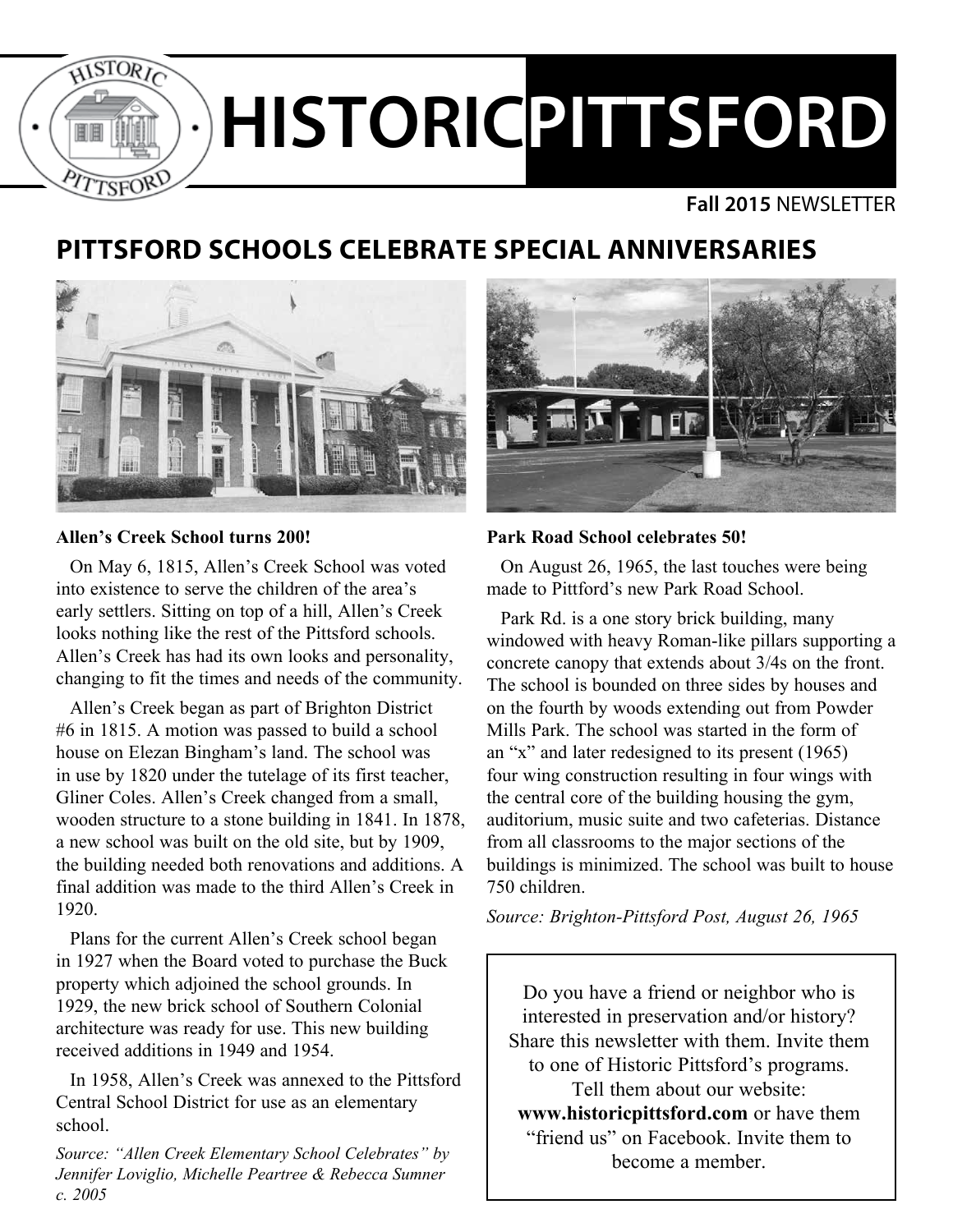

### **Fall 2015** NEWSLETTER

# **PITTSFORD SCHOOLS CELEBRATE SPECIAL ANNIVERSARIES**



### **Allen's Creek School turns 200!**

On May 6, 1815, Allen's Creek School was voted into existence to serve the children of the area's early settlers. Sitting on top of a hill, Allen's Creek looks nothing like the rest of the Pittsford schools. Allen's Creek has had its own looks and personality, changing to fit the times and needs of the community.

Allen's Creek began as part of Brighton District #6 in 1815. A motion was passed to build a school house on Elezan Bingham's land. The school was in use by 1820 under the tutelage of its first teacher, Gliner Coles. Allen's Creek changed from a small, wooden structure to a stone building in 1841. In 1878, a new school was built on the old site, but by 1909, the building needed both renovations and additions. A final addition was made to the third Allen's Creek in 1920.

Plans for the current Allen's Creek school began in 1927 when the Board voted to purchase the Buck property which adjoined the school grounds. In 1929, the new brick school of Southern Colonial architecture was ready for use. This new building received additions in 1949 and 1954.

In 1958, Allen's Creek was annexed to the Pittsford Central School District for use as an elementary school.

*Source: "Allen Creek Elementary School Celebrates" by Jennifer Loviglio, Michelle Peartree & Rebecca Sumner c. 2005*



### **Park Road School celebrates 50!**

On August 26, 1965, the last touches were being made to Pittford's new Park Road School.

Park Rd. is a one story brick building, many windowed with heavy Roman-like pillars supporting a concrete canopy that extends about 3/4s on the front. The school is bounded on three sides by houses and on the fourth by woods extending out from Powder Mills Park. The school was started in the form of an "x" and later redesigned to its present (1965) four wing construction resulting in four wings with the central core of the building housing the gym, auditorium, music suite and two cafeterias. Distance from all classrooms to the major sections of the buildings is minimized. The school was built to house 750 children.

*Source: Brighton-Pittsford Post, August 26, 1965*

Do you have a friend or neighbor who is interested in preservation and/or history? Share this newsletter with them. Invite them to one of Historic Pittsford's programs. Tell them about our website: **www.historicpittsford.com** or have them "friend us" on Facebook. Invite them to become a member.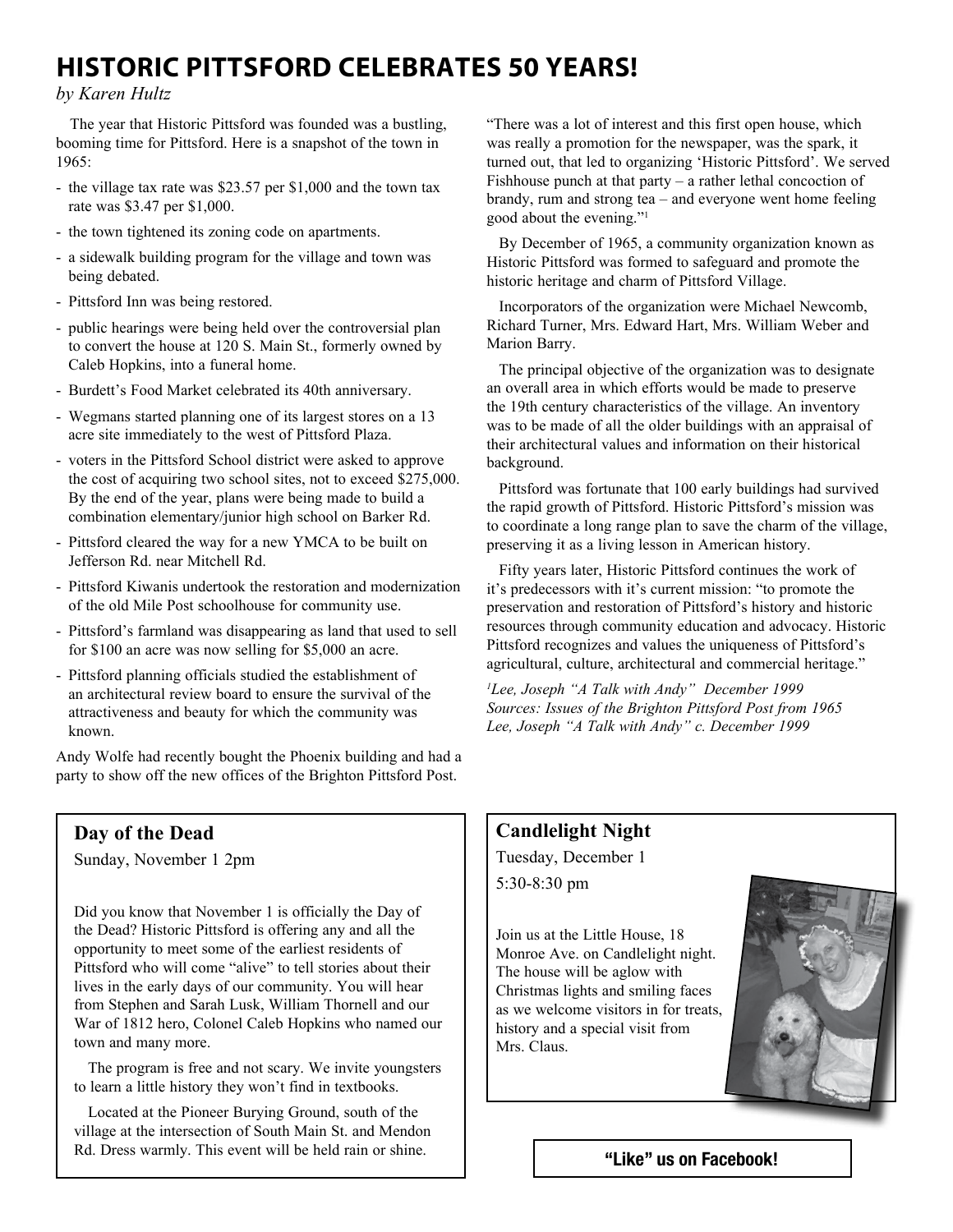## **HISTORIC PITTSFORD CELEBRATES 50 YEARS!**

#### *by Karen Hultz*

The year that Historic Pittsford was founded was a bustling, booming time for Pittsford. Here is a snapshot of the town in  $1965 -$ 

- the village tax rate was \$23.57 per \$1,000 and the town tax rate was \$3.47 per \$1,000.
- the town tightened its zoning code on apartments.
- a sidewalk building program for the village and town was being debated.
- Pittsford Inn was being restored.
- public hearings were being held over the controversial plan to convert the house at 120 S. Main St., formerly owned by Caleb Hopkins, into a funeral home.
- Burdett's Food Market celebrated its 40th anniversary.
- Wegmans started planning one of its largest stores on a 13 acre site immediately to the west of Pittsford Plaza.
- voters in the Pittsford School district were asked to approve the cost of acquiring two school sites, not to exceed \$275,000. By the end of the year, plans were being made to build a combination elementary/junior high school on Barker Rd.
- Pittsford cleared the way for a new YMCA to be built on Jefferson Rd. near Mitchell Rd.
- Pittsford Kiwanis undertook the restoration and modernization of the old Mile Post schoolhouse for community use.
- Pittsford's farmland was disappearing as land that used to sell for \$100 an acre was now selling for \$5,000 an acre.
- Pittsford planning officials studied the establishment of an architectural review board to ensure the survival of the attractiveness and beauty for which the community was known.

Andy Wolfe had recently bought the Phoenix building and had a party to show off the new offices of the Brighton Pittsford Post.

## **Day of the Dead**

Sunday, November 1 2pm

Did you know that November 1 is officially the Day of the Dead? Historic Pittsford is offering any and all the opportunity to meet some of the earliest residents of Pittsford who will come "alive" to tell stories about their lives in the early days of our community. You will hear from Stephen and Sarah Lusk, William Thornell and our War of 1812 hero, Colonel Caleb Hopkins who named our town and many more.

The program is free and not scary. We invite youngsters to learn a little history they won't find in textbooks.

Located at the Pioneer Burying Ground, south of the village at the intersection of South Main St. and Mendon Rd. Dress warmly. This event will be held rain or shine.

"There was a lot of interest and this first open house, which was really a promotion for the newspaper, was the spark, it turned out, that led to organizing 'Historic Pittsford'. We served Fishhouse punch at that party – a rather lethal concoction of brandy, rum and strong tea – and everyone went home feeling good about the evening."1

By December of 1965, a community organization known as Historic Pittsford was formed to safeguard and promote the historic heritage and charm of Pittsford Village.

Incorporators of the organization were Michael Newcomb, Richard Turner, Mrs. Edward Hart, Mrs. William Weber and Marion Barry.

The principal objective of the organization was to designate an overall area in which efforts would be made to preserve the 19th century characteristics of the village. An inventory was to be made of all the older buildings with an appraisal of their architectural values and information on their historical background.

Pittsford was fortunate that 100 early buildings had survived the rapid growth of Pittsford. Historic Pittsford's mission was to coordinate a long range plan to save the charm of the village, preserving it as a living lesson in American history.

Fifty years later, Historic Pittsford continues the work of it's predecessors with it's current mission: "to promote the preservation and restoration of Pittsford's history and historic resources through community education and advocacy. Historic Pittsford recognizes and values the uniqueness of Pittsford's agricultural, culture, architectural and commercial heritage."

*1 Lee, Joseph "A Talk with Andy" December 1999 Sources: Issues of the Brighton Pittsford Post from 1965 Lee, Joseph "A Talk with Andy" c. December 1999*

### **Candlelight Night**

Tuesday, December 1 5:30-8:30 pm

Join us at the Little House, 18 Monroe Ave. on Candlelight night. The house will be aglow with Christmas lights and smiling faces as we welcome visitors in for treats, history and a special visit from Mrs. Claus.



"Like" us on Facebook!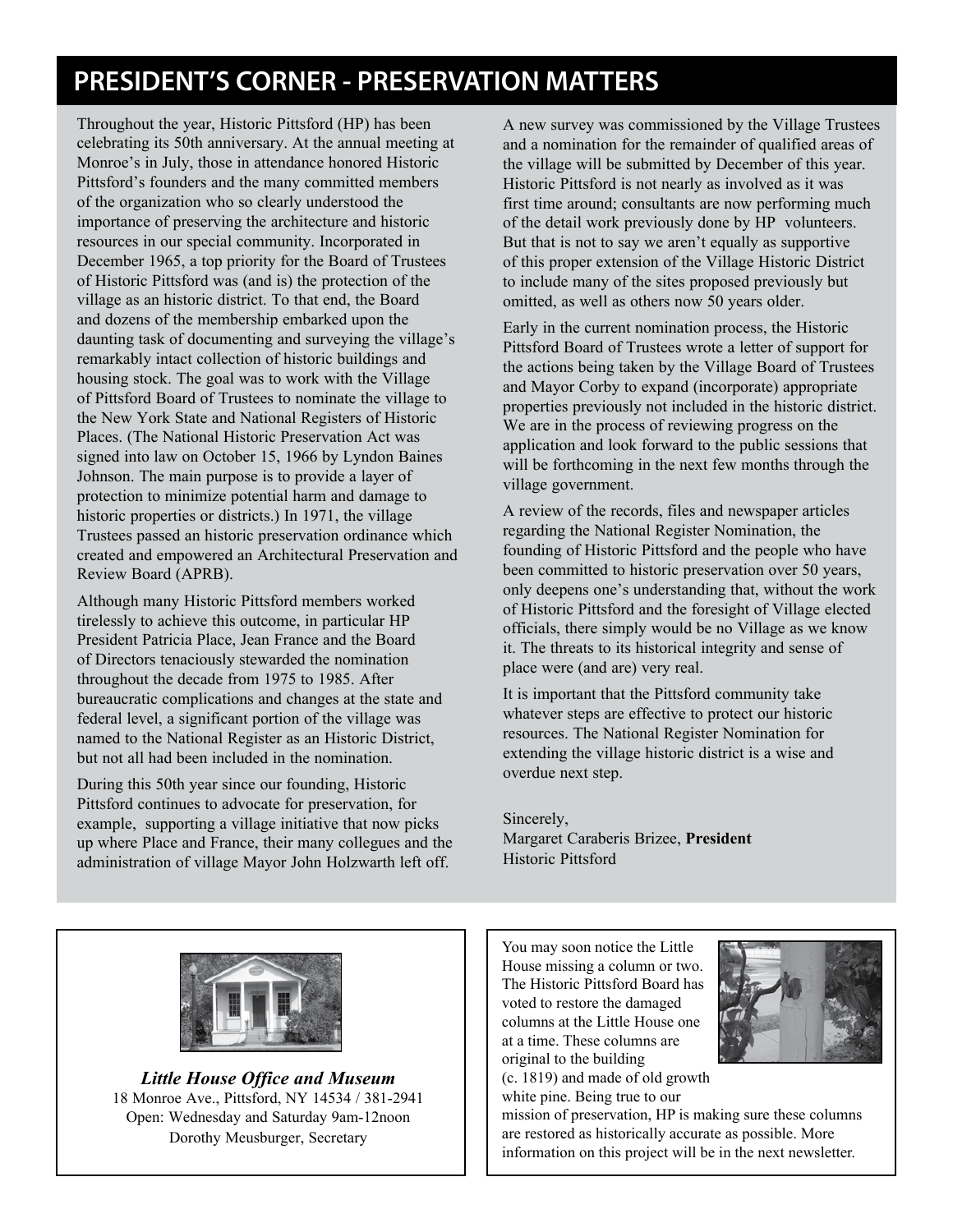# **PRESIDENT'S CORNER - PRESERVATION MATTERS**

Throughout the year, Historic Pittsford (HP) has been celebrating its 50th anniversary. At the annual meeting at Monroe's in July, those in attendance honored Historic Pittsford's founders and the many committed members of the organization who so clearly understood the importance of preserving the architecture and historic resources in our special community. Incorporated in December 1965, a top priority for the Board of Trustees of Historic Pittsford was (and is) the protection of the village as an historic district. To that end, the Board and dozens of the membership embarked upon the daunting task of documenting and surveying the village's remarkably intact collection of historic buildings and housing stock. The goal was to work with the Village of Pittsford Board of Trustees to nominate the village to the New York State and National Registers of Historic Places. (The National Historic Preservation Act was signed into law on October 15, 1966 by Lyndon Baines Johnson. The main purpose is to provide a layer of protection to minimize potential harm and damage to historic properties or districts.) In 1971, the village Trustees passed an historic preservation ordinance which created and empowered an Architectural Preservation and Review Board (APRB).

Although many Historic Pittsford members worked tirelessly to achieve this outcome, in particular HP President Patricia Place, Jean France and the Board of Directors tenaciously stewarded the nomination throughout the decade from 1975 to 1985. After bureaucratic complications and changes at the state and federal level, a significant portion of the village was named to the National Register as an Historic District, but not all had been included in the nomination.

During this 50th year since our founding, Historic Pittsford continues to advocate for preservation, for example, supporting a village initiative that now picks up where Place and France, their many collegues and the administration of village Mayor John Holzwarth left off.

A new survey was commissioned by the Village Trustees and a nomination for the remainder of qualified areas of the village will be submitted by December of this year. Historic Pittsford is not nearly as involved as it was first time around; consultants are now performing much of the detail work previously done by HP volunteers. But that is not to say we aren't equally as supportive of this proper extension of the Village Historic District to include many of the sites proposed previously but omitted, as well as others now 50 years older.

Early in the current nomination process, the Historic Pittsford Board of Trustees wrote a letter of support for the actions being taken by the Village Board of Trustees and Mayor Corby to expand (incorporate) appropriate properties previously not included in the historic district. We are in the process of reviewing progress on the application and look forward to the public sessions that will be forthcoming in the next few months through the village government.

A review of the records, files and newspaper articles regarding the National Register Nomination, the founding of Historic Pittsford and the people who have been committed to historic preservation over 50 years, only deepens one's understanding that, without the work of Historic Pittsford and the foresight of Village elected officials, there simply would be no Village as we know it. The threats to its historical integrity and sense of place were (and are) very real.

It is important that the Pittsford community take whatever steps are effective to protect our historic resources. The National Register Nomination for extending the village historic district is a wise and overdue next step.

Sincerely, Margaret Caraberis Brizee, **President** Historic Pittsford



*Little House Office and Museum* 18 Monroe Ave., Pittsford, NY 14534 / 381-2941 Open: Wednesday and Saturday 9am-12noon Dorothy Meusburger, Secretary

You may soon notice the Little House missing a column or two. The Historic Pittsford Board has voted to restore the damaged columns at the Little House one at a time. These columns are original to the building

(c. 1819) and made of old growth white pine. Being true to our



mission of preservation, HP is making sure these columns are restored as historically accurate as possible. More information on this project will be in the next newsletter.